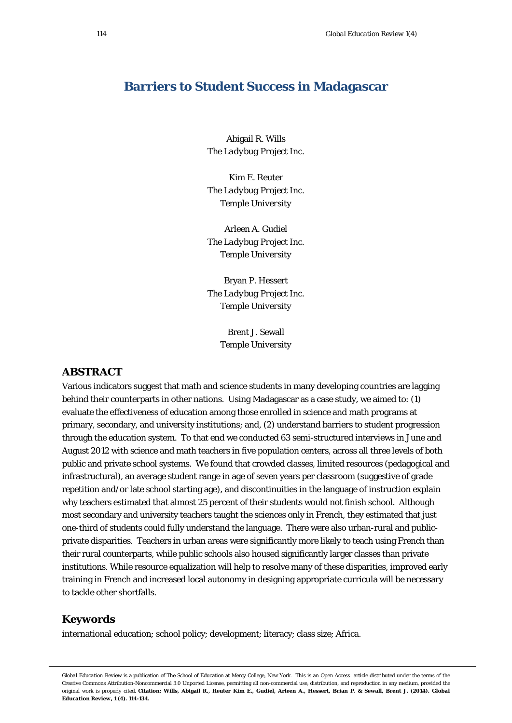# **Barriers to Student Success in Madagascar**

Abigail R. Wills *The Ladybug Project Inc.*

Kim E. Reuter *The Ladybug Project Inc. Temple University*

Arleen A. Gudiel *The Ladybug Project Inc. Temple University*

Bryan P. Hessert *The Ladybug Project Inc. Temple University*

> Brent J. Sewall *Temple University*

# **ABSTRACT**

Various indicators suggest that math and science students in many developing countries are lagging behind their counterparts in other nations. Using Madagascar as a case study, we aimed to: (1) evaluate the effectiveness of education among those enrolled in science and math programs at primary, secondary, and university institutions; and, (2) understand barriers to student progression through the education system. To that end we conducted 63 semi-structured interviews in June and August 2012 with science and math teachers in five population centers, across all three levels of both public and private school systems. We found that crowded classes, limited resources (pedagogical and infrastructural), an average student range in age of seven years per classroom (suggestive of grade repetition and/or late school starting age), and discontinuities in the language of instruction explain why teachers estimated that almost 25 percent of their students would not finish school. Although most secondary and university teachers taught the sciences only in French, they estimated that just one-third of students could fully understand the language. There were also urban-rural and publicprivate disparities. Teachers in urban areas were significantly more likely to teach using French than their rural counterparts, while public schools also housed significantly larger classes than private institutions. While resource equalization will help to resolve many of these disparities, improved early training in French and increased local autonomy in designing appropriate curricula will be necessary to tackle other shortfalls.

## **Keywords**

international education; school policy; development; literacy; class size; Africa.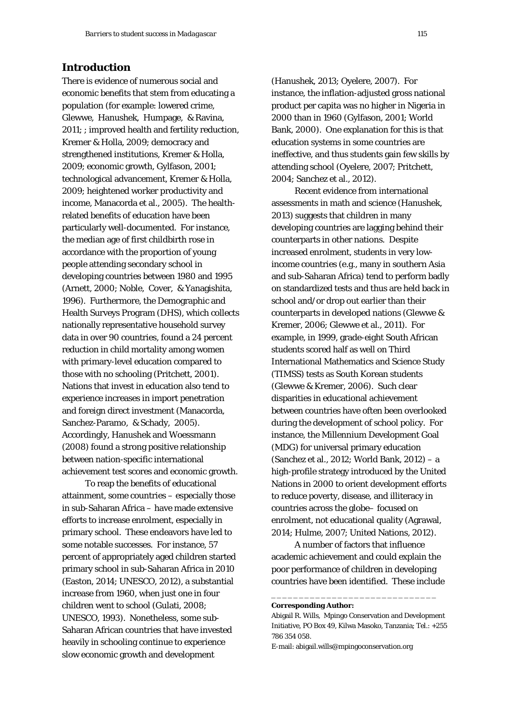# **Introduction**

There is evidence of numerous social and economic benefits that stem from educating a population (for example: lowered crime, Glewwe, Hanushek, Humpage, & Ravina, 2011; ; improved health and fertility reduction, Kremer & Holla, 2009; democracy and strengthened institutions, Kremer & Holla, 2009; economic growth, Gylfason, 2001; technological advancement, Kremer & Holla, 2009; heightened worker productivity and income, Manacorda et al., 2005). The healthrelated benefits of education have been particularly well-documented. For instance, the median age of first childbirth rose in accordance with the proportion of young people attending secondary school in developing countries between 1980 and 1995 (Arnett, 2000; Noble, Cover, & Yanagishita, 1996). Furthermore, the Demographic and Health Surveys Program (DHS), which collects nationally representative household survey data in over 90 countries, found a 24 percent reduction in child mortality among women with primary-level education compared to those with no schooling (Pritchett, 2001). Nations that invest in education also tend to experience increases in import penetration and foreign direct investment (Manacorda, Sanchez-Paramo, & Schady, 2005). Accordingly, Hanushek and Woessmann (2008) found a strong positive relationship between nation-specific international achievement test scores and economic growth.

To reap the benefits of educational attainment, some countries – especially those in sub-Saharan Africa – have made extensive efforts to increase enrolment, especially in primary school. These endeavors have led to some notable successes. For instance, 57 percent of appropriately aged children started primary school in sub-Saharan Africa in 2010 (Easton, 2014; UNESCO, 2012), a substantial increase from 1960, when just one in four children went to school (Gulati, 2008; UNESCO, 1993). Nonetheless, some sub-Saharan African countries that have invested heavily in schooling continue to experience slow economic growth and development

(Hanushek, 2013; Oyelere, 2007). For instance, the inflation-adjusted gross national product per capita was no higher in Nigeria in 2000 than in 1960 (Gylfason, 2001; World Bank, 2000). One explanation for this is that education systems in some countries are ineffective, and thus students gain few skills by attending school (Oyelere, 2007; Pritchett, 2004; Sanchez et al., 2012).

Recent evidence from international assessments in math and science (Hanushek, 2013) suggests that children in many developing countries are lagging behind their counterparts in other nations. Despite increased enrolment, students in very lowincome countries (e.g., many in southern Asia and sub-Saharan Africa) tend to perform badly on standardized tests and thus are held back in school and/or drop out earlier than their counterparts in developed nations (Glewwe & Kremer, 2006; Glewwe et al., 2011). For example, in 1999, grade-eight South African students scored half as well on Third International Mathematics and Science Study (TIMSS) tests as South Korean students (Glewwe & Kremer, 2006). Such clear disparities in educational achievement between countries have often been overlooked during the development of school policy. For instance, the Millennium Development Goal (MDG) for universal primary education (Sanchez et al., 2012; World Bank, 2012) – a high-profile strategy introduced by the United Nations in 2000 to orient development efforts to reduce poverty, disease, and illiteracy in countries across the globe– focused on enrolment, not educational quality (Agrawal, 2014; Hulme, 2007; United Nations, 2012).

A number of factors that influence academic achievement and could explain the poor performance of children in developing countries have been identified. These include

\_\_\_\_\_\_\_\_\_\_\_\_\_\_\_\_\_\_\_\_\_\_\_\_\_\_\_\_\_\_

#### **Corresponding Author:**

E-mail: abigail.wills@mpingoconservation.org

Abigail R. Wills, Mpingo Conservation and Development Initiative, PO Box 49, Kilwa Masoko, Tanzania; Tel.: +255 786 354 058.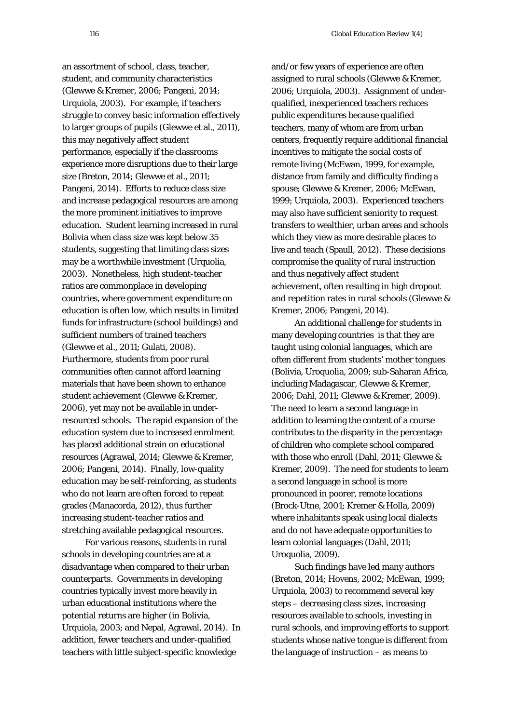an assortment of school, class, teacher, student, and community characteristics (Glewwe & Kremer, 2006; Pangeni, 2014; Urquiola, 2003). For example, if teachers struggle to convey basic information effectively to larger groups of pupils (Glewwe et al., 2011), this may negatively affect student performance, especially if the classrooms experience more disruptions due to their large size (Breton, 2014; Glewwe et al., 2011; Pangeni, 2014). Efforts to reduce class size and increase pedagogical resources are among the more prominent initiatives to improve education. Student learning increased in rural Bolivia when class size was kept below 35 students, suggesting that limiting class sizes may be a worthwhile investment (Urquolia, 2003). Nonetheless, high student-teacher ratios are commonplace in developing countries, where government expenditure on education is often low, which results in limited funds for infrastructure (school buildings) and sufficient numbers of trained teachers (Glewwe et al., 2011; Gulati, 2008). Furthermore, students from poor rural communities often cannot afford learning materials that have been shown to enhance student achievement (Glewwe & Kremer, 2006), yet may not be available in underresourced schools. The rapid expansion of the education system due to increased enrolment has placed additional strain on educational resources (Agrawal, 2014; Glewwe & Kremer, 2006; Pangeni, 2014). Finally, low-quality education may be self-reinforcing, as students who do not learn are often forced to repeat grades (Manacorda, 2012), thus further increasing student-teacher ratios and stretching available pedagogical resources.

For various reasons, students in rural schools in developing countries are at a disadvantage when compared to their urban counterparts. Governments in developing countries typically invest more heavily in urban educational institutions where the potential returns are higher (in Bolivia, Urquiola, 2003; and Nepal, Agrawal, 2014). In addition, fewer teachers and under-qualified teachers with little subject-specific knowledge

and/or few years of experience are often assigned to rural schools (Glewwe & Kremer, 2006; Urquiola, 2003). Assignment of underqualified, inexperienced teachers reduces public expenditures because qualified teachers, many of whom are from urban centers, frequently require additional financial incentives to mitigate the social costs of remote living (McEwan, 1999, for example, distance from family and difficulty finding a spouse; Glewwe & Kremer, 2006; McEwan, 1999; Urquiola, 2003). Experienced teachers may also have sufficient seniority to request transfers to wealthier, urban areas and schools which they view as more desirable places to live and teach (Spaull, 2012). These decisions compromise the quality of rural instruction and thus negatively affect student achievement, often resulting in high dropout and repetition rates in rural schools (Glewwe & Kremer, 2006; Pangeni, 2014).

An additional challenge for students in many developing countries is that they are taught using colonial languages, which are often different from students' mother tongues (Bolivia, Uroquolia, 2009; sub-Saharan Africa, including Madagascar, Glewwe & Kremer, 2006; Dahl, 2011; Glewwe & Kremer, 2009). The need to learn a second language in addition to learning the content of a course contributes to the disparity in the percentage of children who complete school compared with those who enroll (Dahl, 2011; Glewwe & Kremer, 2009). The need for students to learn a second language in school is more pronounced in poorer, remote locations (Brock-Utne, 2001; Kremer & Holla, 2009) where inhabitants speak using local dialects and do not have adequate opportunities to learn colonial languages (Dahl, 2011; Uroquolia, 2009).

Such findings have led many authors (Breton, 2014; Hovens, 2002; McEwan, 1999; Urquiola, 2003) to recommend several key steps – decreasing class sizes, increasing resources available to schools, investing in rural schools, and improving efforts to support students whose native tongue is different from the language of instruction – as means to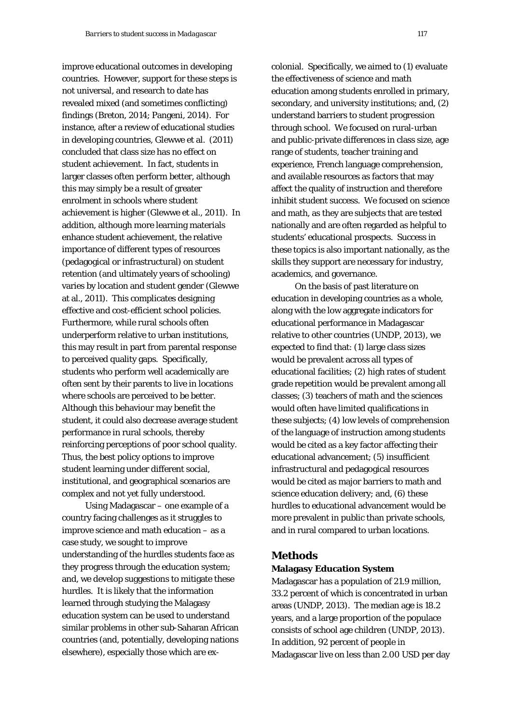improve educational outcomes in developing countries. However, support for these steps is not universal, and research to date has revealed mixed (and sometimes conflicting) findings (Breton, 2014; Pangeni, 2014). For instance, after a review of educational studies in developing countries, Glewwe et al. (2011) concluded that class size has no effect on student achievement. In fact, students in larger classes often perform better, although this may simply be a result of greater enrolment in schools where student achievement is higher (Glewwe et al., 2011). In addition, although more learning materials enhance student achievement, the relative importance of different types of resources (pedagogical or infrastructural) on student retention (and ultimately years of schooling) varies by location and student gender (Glewwe at al., 2011). This complicates designing effective and cost-efficient school policies. Furthermore, while rural schools often underperform relative to urban institutions, this may result in part from parental response to perceived quality gaps. Specifically, students who perform well academically are often sent by their parents to live in locations where schools are perceived to be better. Although this behaviour may benefit the student, it could also decrease average student performance in rural schools, thereby reinforcing perceptions of poor school quality. Thus, the best policy options to improve student learning under different social, institutional, and geographical scenarios are complex and not yet fully understood.

Using Madagascar – one example of a country facing challenges as it struggles to improve science and math education – as a case study, we sought to improve understanding of the hurdles students face as they progress through the education system; and, we develop suggestions to mitigate these hurdles. It is likely that the information learned through studying the Malagasy education system can be used to understand similar problems in other sub-Saharan African countries (and, potentially, developing nations elsewhere), especially those which are excolonial. Specifically, we aimed to (1) evaluate the effectiveness of science and math education among students enrolled in primary, secondary, and university institutions; and, (2) understand barriers to student progression through school. We focused on rural-urban and public-private differences in class size, age range of students, teacher training and experience, French language comprehension, and available resources as factors that may affect the quality of instruction and therefore inhibit student success. We focused on science and math, as they are subjects that are tested nationally and are often regarded as helpful to students' educational prospects. Success in these topics is also important nationally, as the skills they support are necessary for industry, academics, and governance.

On the basis of past literature on education in developing countries as a whole, along with the low aggregate indicators for educational performance in Madagascar relative to other countries (UNDP, 2013), we expected to find that: (1) large class sizes would be prevalent across all types of educational facilities; (2) high rates of student grade repetition would be prevalent among all classes; (3) teachers of math and the sciences would often have limited qualifications in these subjects; (4) low levels of comprehension of the language of instruction among students would be cited as a key factor affecting their educational advancement; (5) insufficient infrastructural and pedagogical resources would be cited as major barriers to math and science education delivery; and, (6) these hurdles to educational advancement would be more prevalent in public than private schools, and in rural compared to urban locations.

# **Methods**

### **Malagasy Education System**

Madagascar has a population of 21.9 million, 33.2 percent of which is concentrated in urban areas (UNDP, 2013). The median age is 18.2 years, and a large proportion of the populace consists of school age children (UNDP, 2013). In addition, 92 percent of people in Madagascar live on less than 2.00 USD per day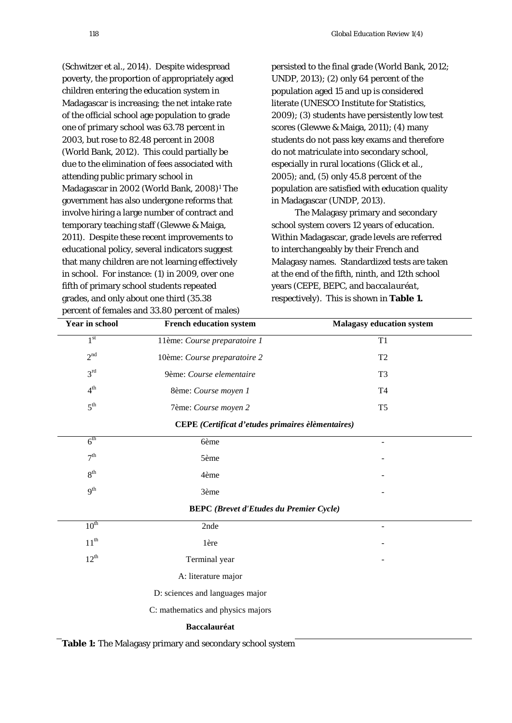(Schwitzer et al., 2014). Despite widespread poverty, the proportion of appropriately aged children entering the education system in Madagascar is increasing; the net intake rate of the official school age population to grade one of primary school was 63.78 percent in 2003, but rose to 82.48 percent in 2008 (World Bank, 2012). This could partially be due to the elimination of fees associated with attending public primary school in Madagascar in 2002 (World Bank, 2008)1 The government has also undergone reforms that involve hiring a large number of contract and temporary teaching staff (Glewwe & Maiga, 2011). Despite these recent improvements to educational policy, several indicators suggest that many children are not learning effectively in school. For instance: (1) in 2009, over one fifth of primary school students repeated grades, and only about one third (35.38 percent of females and 33.80 percent of males)

persisted to the final grade (World Bank, 2012; UNDP, 2013); (2) only 64 percent of the population aged 15 and up is considered literate (UNESCO Institute for Statistics, 2009); (3) students have persistently low test scores (Glewwe & Maiga, 2011); (4) many students do not pass key exams and therefore do not matriculate into secondary school, especially in rural locations (Glick et al., 2005); and, (5) only 45.8 percent of the population are satisfied with education quality in Madagascar (UNDP, 2013).

The Malagasy primary and secondary school system covers 12 years of education. Within Madagascar, grade levels are referred to interchangeably by their French and Malagasy names. Standardized tests are taken at the end of the fifth, ninth, and 12th school years (CEPE, BEPC, and *baccalauréat*, respectively). This is shown in **Table 1.**

| <b>Year in school</b>                             | <b>French education system</b>                 | <b>Malagasy education system</b> |  |  |  |  |
|---------------------------------------------------|------------------------------------------------|----------------------------------|--|--|--|--|
| 1 <sup>st</sup>                                   | 11ème: Course preparatoire 1                   | T1                               |  |  |  |  |
| 2 <sup>nd</sup>                                   | 10ème: Course preparatoire 2<br>T <sub>2</sub> |                                  |  |  |  |  |
| 3 <sup>rd</sup>                                   | 9ème: Course elementaire<br>T <sub>3</sub>     |                                  |  |  |  |  |
| 4 <sup>th</sup>                                   | 8ème: Course moyen 1                           | T <sub>4</sub>                   |  |  |  |  |
| $5^{\text{th}}$                                   | 7ème: Course moyen 2                           | T <sub>5</sub>                   |  |  |  |  |
| CEPE (Certificat d'etudes primaires èlèmentaires) |                                                |                                  |  |  |  |  |
| $6^{\text{th}}$                                   | 6ème                                           | $\overline{\phantom{m}}$         |  |  |  |  |
| 7 <sup>th</sup>                                   | 5ème                                           |                                  |  |  |  |  |
| 8 <sup>th</sup>                                   | 4ème                                           |                                  |  |  |  |  |
| 9 <sup>th</sup>                                   | 3ème                                           |                                  |  |  |  |  |
| <b>BEPC</b> (Brevet d'Etudes du Premier Cycle)    |                                                |                                  |  |  |  |  |
| $10^{\text{th}}$                                  | 2nde                                           | ÷,                               |  |  |  |  |
| $11^{th}$                                         | 1ère                                           |                                  |  |  |  |  |
| $12^{th}$                                         | Terminal year                                  |                                  |  |  |  |  |
|                                                   | A: literature major                            |                                  |  |  |  |  |
|                                                   | D: sciences and languages major                |                                  |  |  |  |  |
|                                                   | C: mathematics and physics majors              |                                  |  |  |  |  |
|                                                   | <b>Baccalauréat</b>                            |                                  |  |  |  |  |

Table 1: The Malagasy primary and secondary school system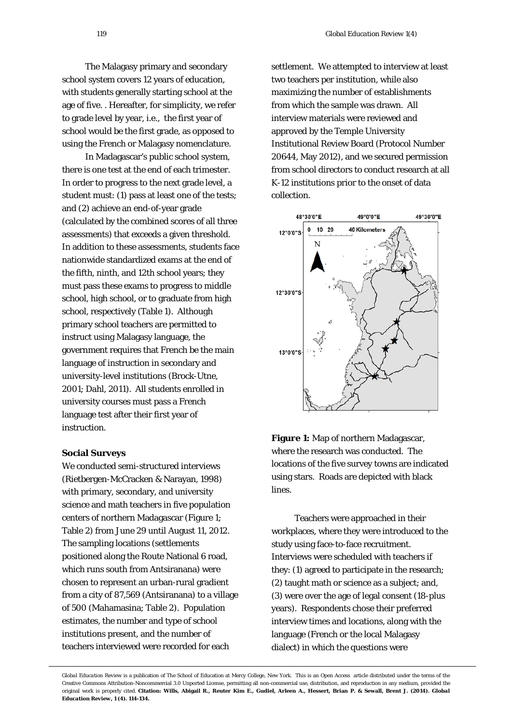The Malagasy primary and secondary school system covers 12 years of education, with students generally starting school at the age of five. . Hereafter, for simplicity, we refer to grade level by year, i.e., the first year of school would be the first grade, as opposed to using the French or Malagasy nomenclature.

In Madagascar's public school system, there is one test at the end of each trimester. In order to progress to the next grade level, a student must: (1) pass at least one of the tests; and (2) achieve an end-of-year grade (calculated by the combined scores of all three assessments) that exceeds a given threshold. In addition to these assessments, students face nationwide standardized exams at the end of the fifth, ninth, and 12th school years; they must pass these exams to progress to middle school, high school, or to graduate from high school, respectively (Table 1). Although primary school teachers are permitted to instruct using Malagasy language, the government requires that French be the main language of instruction in secondary and university-level institutions (Brock-Utne, 2001; Dahl, 2011). All students enrolled in university courses must pass a French language test after their first year of instruction.

### **Social Surveys**

We conducted semi-structured interviews (Rietbergen-McCracken & Narayan, 1998) with primary, secondary, and university science and math teachers in five population centers of northern Madagascar (Figure 1; Table 2) from June 29 until August 11, 2012. The sampling locations (settlements positioned along the Route National 6 road, which runs south from Antsiranana) were chosen to represent an urban-rural gradient from a city of 87,569 (Antsiranana) to a village of 500 (Mahamasina; Table 2). Population estimates, the number and type of school institutions present, and the number of teachers interviewed were recorded for each

settlement. We attempted to interview at least two teachers per institution, while also maximizing the number of establishments from which the sample was drawn. All interview materials were reviewed and approved by the Temple University Institutional Review Board (Protocol Number 20644, May 2012), and we secured permission from school directors to conduct research at all K-12 institutions prior to the onset of data collection.



**Figure 1:** Map of northern Madagascar, where the research was conducted. The locations of the five survey towns are indicated using stars. Roads are depicted with black lines.

Teachers were approached in their workplaces, where they were introduced to the study using face-to-face recruitment. Interviews were scheduled with teachers if they: (1) agreed to participate in the research; (2) taught math or science as a subject; and, (3) were over the age of legal consent (18-plus years). Respondents chose their preferred interview times and locations, along with the language (French or the local Malagasy dialect) in which the questions were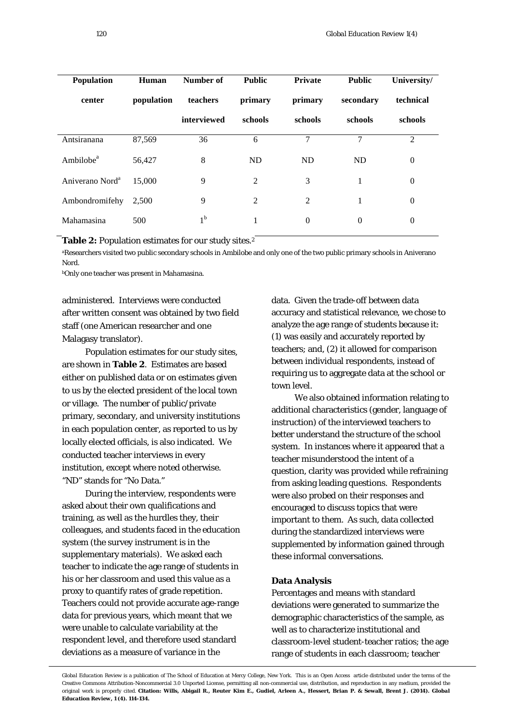| <b>Population</b>           | Human      | Number of   | <b>Public</b> | <b>Private</b> | <b>Public</b> | University/  |
|-----------------------------|------------|-------------|---------------|----------------|---------------|--------------|
| center                      | population | teachers    | primary       | primary        | secondary     | technical    |
|                             |            | interviewed | schools       | schools        | schools       | schools      |
| Antsiranana                 | 87,569     | 36          | 6             | 7              | 7             | 2            |
| Ambilobe <sup>a</sup>       | 56,427     | 8           | <b>ND</b>     | <b>ND</b>      | ND            | $\theta$     |
| Aniverano Nord <sup>a</sup> | 15,000     | 9           | 2             | 3              | 1             | $\theta$     |
| Ambondromifehy              | 2,500      | 9           | 2             | 2              | 1             | $\mathbf{0}$ |
| Mahamasina                  | 500        | $1^{\rm b}$ |               | $\theta$       | $\theta$      | $\theta$     |

**Table 2:** Population estimates for our study sites.2

aResearchers visited two public secondary schools in Ambilobe and only one of the two public primary schools in Aniverano Nord.

bOnly one teacher was present in Mahamasina.

administered. Interviews were conducted after written consent was obtained by two field staff (one American researcher and one Malagasy translator).

Population estimates for our study sites, are shown in **Table 2**. Estimates are based either on published data or on estimates given to us by the elected president of the local town or village. The number of public/private primary, secondary, and university institutions in each population center, as reported to us by locally elected officials, is also indicated. We conducted teacher interviews in every institution, except where noted otherwise. "ND" stands for "No Data."

During the interview, respondents were asked about their own qualifications and training, as well as the hurdles they, their colleagues, and students faced in the education system (the survey instrument is in the supplementary materials). We asked each teacher to indicate the age range of students in his or her classroom and used this value as a proxy to quantify rates of grade repetition. Teachers could not provide accurate age-range data for previous years, which meant that we were unable to calculate variability at the respondent level, and therefore used standard deviations as a measure of variance in the

data. Given the trade-off between data accuracy and statistical relevance, we chose to analyze the age range of students because it: (1) was easily and accurately reported by teachers; and, (2) it allowed for comparison between individual respondents, instead of requiring us to aggregate data at the school or town level.

We also obtained information relating to additional characteristics (gender, language of instruction) of the interviewed teachers to better understand the structure of the school system. In instances where it appeared that a teacher misunderstood the intent of a question, clarity was provided while refraining from asking leading questions. Respondents were also probed on their responses and encouraged to discuss topics that were important to them. As such, data collected during the standardized interviews were supplemented by information gained through these informal conversations.

### **Data Analysis**

Percentages and means with standard deviations were generated to summarize the demographic characteristics of the sample, as well as to characterize institutional and classroom-level student-teacher ratios; the age range of students in each classroom; teacher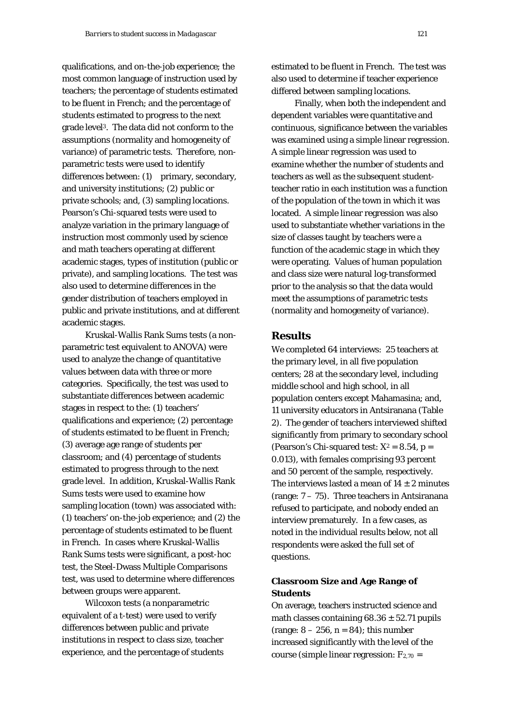qualifications, and on-the-job experience; the most common language of instruction used by teachers; the percentage of students estimated to be fluent in French; and the percentage of students estimated to progress to the next grade level3. The data did not conform to the assumptions (normality and homogeneity of variance) of parametric tests. Therefore, nonparametric tests were used to identify differences between: (1) primary, secondary, and university institutions; (2) public or private schools; and, (3) sampling locations. Pearson's Chi-squared tests were used to analyze variation in the primary language of instruction most commonly used by science and math teachers operating at different academic stages, types of institution (public or private), and sampling locations. The test was also used to determine differences in the gender distribution of teachers employed in public and private institutions, and at different academic stages.

Kruskal-Wallis Rank Sums tests (a nonparametric test equivalent to ANOVA) were used to analyze the change of quantitative values between data with three or more categories. Specifically, the test was used to substantiate differences between academic stages in respect to the: (1) teachers' qualifications and experience; (2) percentage of students estimated to be fluent in French; (3) average age range of students per classroom; and (4) percentage of students estimated to progress through to the next grade level. In addition, Kruskal-Wallis Rank Sums tests were used to examine how sampling location (town) was associated with: (1) teachers' on-the-job experience; and (2) the percentage of students estimated to be fluent in French. In cases where Kruskal-Wallis Rank Sums tests were significant, a post-hoc test, the Steel-Dwass Multiple Comparisons test, was used to determine where differences between groups were apparent.

Wilcoxon tests (a nonparametric equivalent of a t-test) were used to verify differences between public and private institutions in respect to class size, teacher experience, and the percentage of students estimated to be fluent in French. The test was also used to determine if teacher experience differed between sampling locations.

Finally, when both the independent and dependent variables were quantitative and continuous, significance between the variables was examined using a simple linear regression. A simple linear regression was used to examine whether the number of students and teachers as well as the subsequent studentteacher ratio in each institution was a function of the population of the town in which it was located. A simple linear regression was also used to substantiate whether variations in the size of classes taught by teachers were a function of the academic stage in which they were operating. Values of human population and class size were natural log-transformed prior to the analysis so that the data would meet the assumptions of parametric tests (normality and homogeneity of variance).

# **Results**

We completed 64 interviews: 25 teachers at the primary level, in all five population centers; 28 at the secondary level, including middle school and high school, in all population centers except Mahamasina; and, 11 university educators in Antsiranana (Table 2). The gender of teachers interviewed shifted significantly from primary to secondary school (Pearson's Chi-squared test:  $X^2 = 8.54$ , p = 0.013), with females comprising 93 percent and 50 percent of the sample, respectively. The interviews lasted a mean of  $14 \pm 2$  minutes (range:  $7 - 75$ ). Three teachers in Antsiranana refused to participate, and nobody ended an interview prematurely. In a few cases, as noted in the individual results below, not all respondents were asked the full set of questions.

# **Classroom Size and Age Range of Students**

On average, teachers instructed science and math classes containing  $68.36 \pm 52.71$  pupils (range:  $8 - 256$ ,  $n = 84$ ); this number increased significantly with the level of the course (simple linear regression:  $F_{2,70}$  =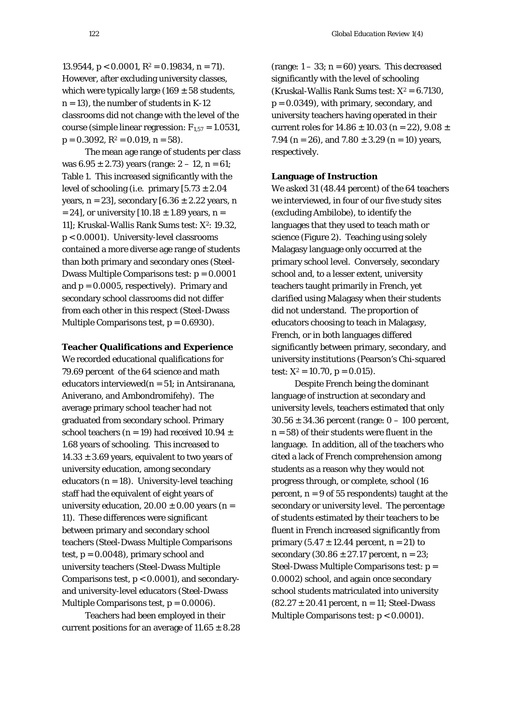13.9544,  $p < 0.0001$ ,  $R^2 = 0.19834$ ,  $n = 71$ ). However, after excluding university classes, which were typically large (169  $\pm$  58 students,  $n = 13$ , the number of students in K-12 classrooms did not change with the level of the course (simple linear regression:  $F_{1.57} = 1.0531$ ,  $p = 0.3092$ ,  $R^2 = 0.019$ ,  $n = 58$ ).

The mean age range of students per class was  $6.95 \pm 2.73$ ) years (range:  $2 - 12$ , n = 61; Table 1. This increased significantly with the level of schooling (i.e. primary  $[5.73 \pm 2.04]$ years,  $n = 23$ , secondary  $[6.36 \pm 2.22$  years, n  $= 24$ ], or university  $[10.18 \pm 1.89$  years, n = 11]; Kruskal-Wallis Rank Sums test: *X*2: 19.32, p < 0.0001). University-level classrooms contained a more diverse age range of students than both primary and secondary ones (Steel-Dwass Multiple Comparisons test: p = 0.0001 and  $p = 0.0005$ , respectively). Primary and secondary school classrooms did not differ from each other in this respect (Steel-Dwass Multiple Comparisons test,  $p = 0.6930$ .

#### **Teacher Qualifications and Experience**

We recorded educational qualifications for 79.69 percent of the 64 science and math educators interviewed $(n = 51;$  in Antsiranana, Aniverano, and Ambondromifehy). The average primary school teacher had not graduated from secondary school. Primary school teachers (n = 19) had received 10.94  $\pm$ 1.68 years of schooling. This increased to  $14.33 \pm 3.69$  years, equivalent to two years of university education, among secondary educators ( $n = 18$ ). University-level teaching staff had the equivalent of eight years of university education,  $20.00 \pm 0.00$  years (n = 11). These differences were significant between primary and secondary school teachers (Steel-Dwass Multiple Comparisons test,  $p = 0.0048$ , primary school and university teachers (Steel-Dwass Multiple Comparisons test, p < 0.0001), and secondaryand university-level educators (Steel-Dwass Multiple Comparisons test,  $p = 0.0006$ .

Teachers had been employed in their current positions for an average of  $11.65 \pm 8.28$  (range:  $1 - 33$ ;  $n = 60$ ) years. This decreased significantly with the level of schooling (Kruskal-Wallis Rank Sums test:  $X^2 = 6.7130$ ,  $p = 0.0349$ , with primary, secondary, and university teachers having operated in their current roles for  $14.86 \pm 10.03$  (n = 22),  $9.08 \pm 10.03$ 7.94 (n = 26), and  $7.80 \pm 3.29$  (n = 10) years, respectively.

### **Language of Instruction**

We asked 31 (48.44 percent) of the 64 teachers we interviewed, in four of our five study sites (excluding Ambilobe), to identify the languages that they used to teach math or science (Figure 2). Teaching using solely Malagasy language only occurred at the primary school level. Conversely, secondary school and, to a lesser extent, university teachers taught primarily in French, yet clarified using Malagasy when their students did not understand. The proportion of educators choosing to teach in Malagasy, French, or in both languages differed significantly between primary, secondary, and university institutions (Pearson's Chi-squared test:  $X^2 = 10.70$ ,  $p = 0.015$ ).

Despite French being the dominant language of instruction at secondary and university levels, teachers estimated that only  $30.56 \pm 34.36$  percent (range:  $0 - 100$  percent,  $n = 58$ ) of their students were fluent in the language. In addition, all of the teachers who cited a lack of French comprehension among students as a reason why they would not progress through, or complete, school (16 percent,  $n = 9$  of 55 respondents) taught at the secondary or university level. The percentage of students estimated by their teachers to be fluent in French increased significantly from primary  $(5.47 \pm 12.44)$  percent, n = 21) to secondary  $(30.86 \pm 27.17)$  percent, n = 23; Steel-Dwass Multiple Comparisons test: p = 0.0002) school, and again once secondary school students matriculated into university  $(82.27 \pm 20.41 \text{ percent}, n = 11; \text{Steel-Dwass})$ Multiple Comparisons test: p < 0.0001).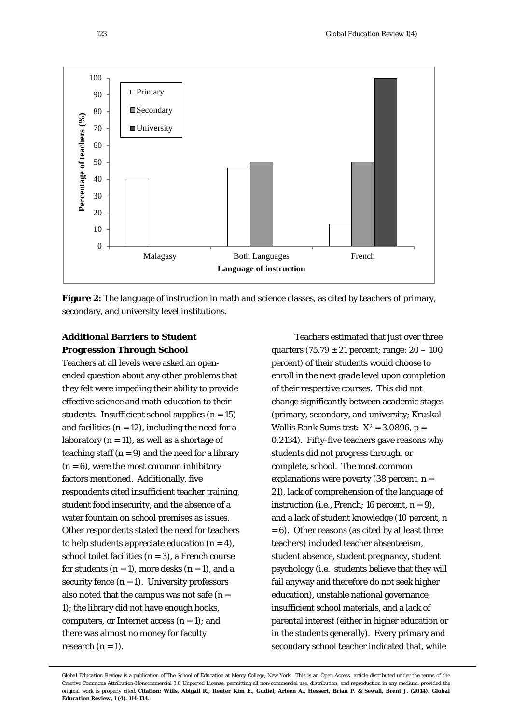



# **Additional Barriers to Student Progression Through School**

Teachers at all levels were asked an openended question about any other problems that they felt were impeding their ability to provide effective science and math education to their students. Insufficient school supplies  $(n = 15)$ and facilities  $(n = 12)$ , including the need for a laboratory  $(n = 11)$ , as well as a shortage of teaching staff  $(n = 9)$  and the need for a library  $(n = 6)$ , were the most common inhibitory factors mentioned. Additionally, five respondents cited insufficient teacher training, student food insecurity, and the absence of a water fountain on school premises as issues. Other respondents stated the need for teachers to help students appreciate education  $(n = 4)$ , school toilet facilities  $(n = 3)$ , a French course for students  $(n = 1)$ , more desks  $(n = 1)$ , and a security fence  $(n = 1)$ . University professors also noted that the campus was not safe  $(n =$ 1); the library did not have enough books, computers, or Internet access  $(n = 1)$ ; and there was almost no money for faculty research  $(n = 1)$ .

Teachers estimated that just over three quarters  $(75.79 \pm 21)$  percent; range:  $20 - 100$ percent) of their students would choose to enroll in the next grade level upon completion of their respective courses. This did not change significantly between academic stages (primary, secondary, and university; Kruskal-Wallis Rank Sums test:  $X^2 = 3.0896$ , p = 0.2134). Fifty-five teachers gave reasons why students did not progress through, or complete, school. The most common explanations were poverty  $(38$  percent,  $n =$ 21), lack of comprehension of the language of instruction (i.e., French; 16 percent,  $n = 9$ ), and a lack of student knowledge (10 percent, n  $= 6$ ). Other reasons (as cited by at least three teachers) included teacher absenteeism, student absence, student pregnancy, student psychology (i.e. students believe that they will fail anyway and therefore do not seek higher education), unstable national governance, insufficient school materials, and a lack of parental interest (either in higher education or in the students generally). Every primary and secondary school teacher indicated that, while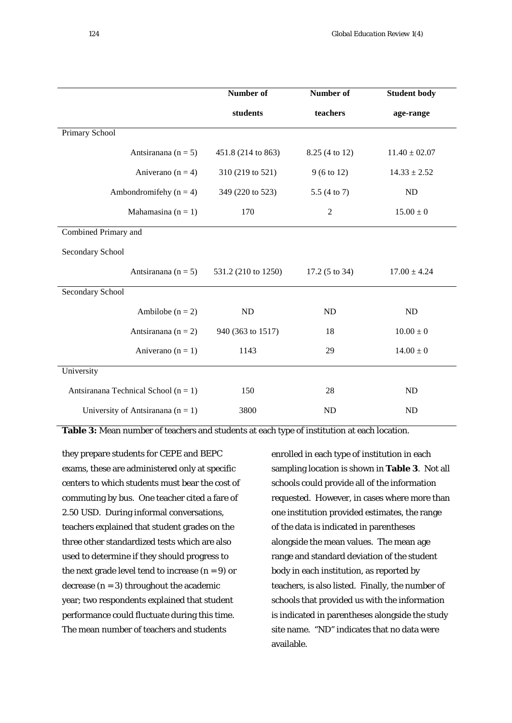|                                          | Number of           | Number of                | <b>Student body</b> |
|------------------------------------------|---------------------|--------------------------|---------------------|
|                                          | students            | teachers                 | age-range           |
| Primary School                           |                     |                          |                     |
| Antsiranana ( $n = 5$ )                  | 451.8 (214 to 863)  | 8.25 (4 to 12)           | $11.40 \pm 02.07$   |
| Aniverano ( $n = 4$ )                    | 310 (219 to 521)    | $9(6 \text{ to } 12)$    | $14.33 \pm 2.52$    |
| Ambondromifehy ( $n = 4$ )               | 349 (220 to 523)    | 5.5 (4 to 7)             | <b>ND</b>           |
| Mahamasina ( $n = 1$ )                   | 170                 | $\overline{2}$           | $15.00 \pm 0$       |
| Combined Primary and                     |                     |                          |                     |
| Secondary School                         |                     |                          |                     |
| Antsiranana (n = 5)                      | 531.2 (210 to 1250) | $17.2(5 \text{ to } 34)$ | $17.00 \pm 4.24$    |
| Secondary School                         |                     |                          |                     |
| Ambilobe $(n = 2)$                       | ND                  | <b>ND</b>                | <b>ND</b>           |
| Antsiranana ( $n = 2$ )                  | 940 (363 to 1517)   | 18                       | $10.00 \pm 0$       |
| Aniverano ( $n = 1$ )                    | 1143                | 29                       | $14.00 \pm 0$       |
| University                               |                     |                          |                     |
| Antsiranana Technical School ( $n = 1$ ) | 150                 | 28<br><b>ND</b>          |                     |
| University of Antsiranana $(n = 1)$      | 3800                | <b>ND</b>                | ND                  |

**Table 3:** Mean number of teachers and students at each type of institution at each location.

they prepare students for CEPE and BEPC exams, these are administered only at specific centers to which students must bear the cost of commuting by bus. One teacher cited a fare of 2.50 USD. During informal conversations, teachers explained that student grades on the three other standardized tests which are also used to determine if they should progress to the next grade level tend to increase  $(n = 9)$  or decrease  $(n = 3)$  throughout the academic year; two respondents explained that student performance could fluctuate during this time. The mean number of teachers and students

enrolled in each type of institution in each sampling location is shown in **Table 3**. Not all schools could provide all of the information requested. However, in cases where more than one institution provided estimates, the range of the data is indicated in parentheses alongside the mean values. The mean age range and standard deviation of the student body in each institution, as reported by teachers, is also listed. Finally, the number of schools that provided us with the information is indicated in parentheses alongside the study site name. "ND" indicates that no data were available.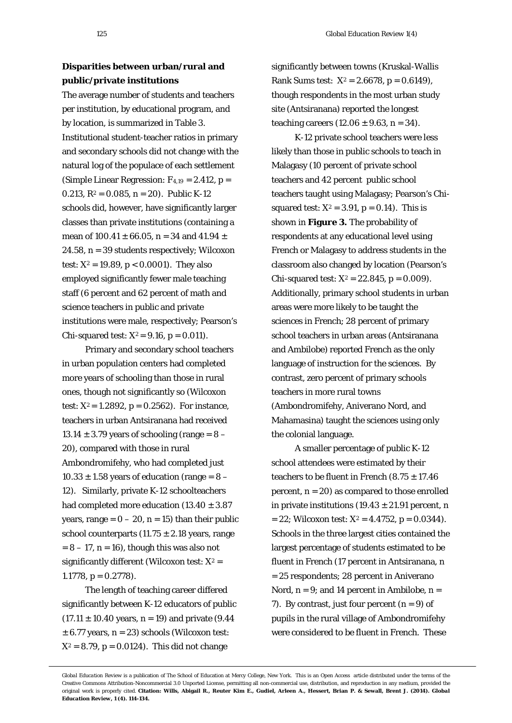# **Disparities between urban/rural and public/private institutions**

The average number of students and teachers per institution, by educational program, and by location, is summarized in Table 3. Institutional student-teacher ratios in primary and secondary schools did not change with the natural log of the populace of each settlement (Simple Linear Regression:  $F_{4,19} = 2.412$ , p = 0.213,  $R^2 = 0.085$ ,  $n = 20$ ). Public K-12 schools did, however, have significantly larger classes than private institutions (containing a mean of  $100.41 \pm 66.05$ , n = 34 and  $41.94 \pm 1.04$ 24.58, n = 39 students respectively; Wilcoxon test:  $X^2 = 19.89$ ,  $p < 0.0001$ ). They also employed significantly fewer male teaching staff (6 percent and 62 percent of math and science teachers in public and private institutions were male, respectively; Pearson's Chi-squared test:  $X^2 = 9.16$ ,  $p = 0.011$ .

Primary and secondary school teachers in urban population centers had completed more years of schooling than those in rural ones, though not significantly so (Wilcoxon test:  $X^2 = 1.2892$ ,  $p = 0.2562$ ). For instance, teachers in urban Antsiranana had received  $13.14 \pm 3.79$  years of schooling (range =  $8 -$ 20), compared with those in rural Ambondromifehy, who had completed just  $10.33 \pm 1.58$  years of education (range =  $8 -$ 12). Similarly, private K-12 schoolteachers had completed more education  $(13.40 \pm 3.87)$ years, range =  $0 - 20$ , n = 15) than their public school counterparts  $(11.75 \pm 2.18$  years, range  $= 8 - 17$ ,  $n = 16$ ), though this was also not significantly different (Wilcoxon test:  $X^2 =$ 1.1778,  $p = 0.2778$ .

The length of teaching career differed significantly between K-12 educators of public  $(17.11 \pm 10.40 \text{ years}, n = 19)$  and private  $(9.44$  $\pm$  6.77 years, n = 23) schools (Wilcoxon test:  $X^2 = 8.79$ ,  $p = 0.0124$ ). This did not change

significantly between towns (Kruskal-Wallis Rank Sums test:  $X^2 = 2.6678$ , p = 0.6149), though respondents in the most urban study site (Antsiranana) reported the longest teaching careers  $(12.06 \pm 9.63, n = 34)$ .

K-12 private school teachers were less likely than those in public schools to teach in Malagasy (10 percent of private school teachers and 42 percent public school teachers taught using Malagasy; Pearson's Chisquared test:  $X^2 = 3.91$ ,  $p = 0.14$ ). This is shown in **Figure 3.** The probability of respondents at any educational level using French or Malagasy to address students in the classroom also changed by location (Pearson's Chi-squared test:  $X^2 = 22.845$ ,  $p = 0.009$ ). Additionally, primary school students in urban areas were more likely to be taught the sciences in French; 28 percent of primary school teachers in urban areas (Antsiranana and Ambilobe) reported French as the only language of instruction for the sciences. By contrast, zero percent of primary schools teachers in more rural towns (Ambondromifehy, Aniverano Nord, and Mahamasina) taught the sciences using only the colonial language.

A smaller percentage of public K-12 school attendees were estimated by their teachers to be fluent in French  $(8.75 \pm 17.46)$ percent,  $n = 20$  as compared to those enrolled in private institutions  $(19.43 \pm 21.91)$  percent. n  $= 22$ ; Wilcoxon test:  $X^2 = 4.4752$ , p = 0.0344). Schools in the three largest cities contained the largest percentage of students estimated to be fluent in French (17 percent in Antsiranana, n = 25 respondents; 28 percent in Aniverano Nord,  $n = 9$ ; and 14 percent in Ambilobe,  $n =$ 7). By contrast, just four percent  $(n = 9)$  of pupils in the rural village of Ambondromifehy were considered to be fluent in French. These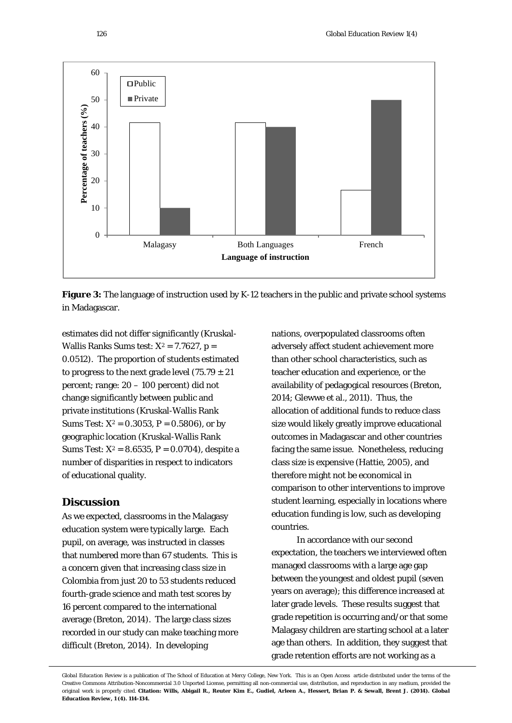



estimates did not differ significantly (Kruskal-Wallis Ranks Sums test:  $X^2 = 7.7627$ , p = 0.0512). The proportion of students estimated to progress to the next grade level  $(75.79 \pm 21)$ percent; range: 20 – 100 percent) did not change significantly between public and private institutions (Kruskal-Wallis Rank Sums Test:  $X^2 = 0.3053$ , P = 0.5806), or by geographic location (Kruskal-Wallis Rank Sums Test:  $X^2 = 8.6535$ , P = 0.0704), despite a number of disparities in respect to indicators of educational quality.

# **Discussion**

As we expected, classrooms in the Malagasy education system were typically large. Each pupil, on average, was instructed in classes that numbered more than 67 students. This is a concern given that increasing class size in Colombia from just 20 to 53 students reduced fourth-grade science and math test scores by 16 percent compared to the international average (Breton, 2014). The large class sizes recorded in our study can make teaching more difficult (Breton, 2014). In developing

nations, overpopulated classrooms often adversely affect student achievement more than other school characteristics, such as teacher education and experience, or the availability of pedagogical resources (Breton, 2014; Glewwe et al., 2011). Thus, the allocation of additional funds to reduce class size would likely greatly improve educational outcomes in Madagascar and other countries facing the same issue. Nonetheless, reducing class size is expensive (Hattie, 2005), and therefore might not be economical in comparison to other interventions to improve student learning, especially in locations where education funding is low, such as developing countries.

In accordance with our second expectation, the teachers we interviewed often managed classrooms with a large age gap between the youngest and oldest pupil (seven years on average); this difference increased at later grade levels. These results suggest that grade repetition is occurring and/or that some Malagasy children are starting school at a later age than others. In addition, they suggest that grade retention efforts are not working as a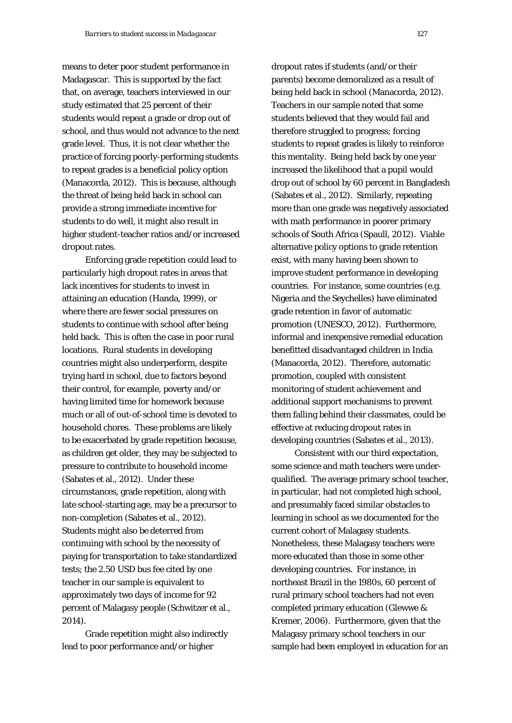means to deter poor student performance in Madagascar. This is supported by the fact that, on average, teachers interviewed in our study estimated that 25 percent of their students would repeat a grade or drop out of school, and thus would not advance to the next grade level. Thus, it is not clear whether the practice of forcing poorly-performing students to repeat grades is a beneficial policy option (Manacorda, 2012). This is because, although the threat of being held back in school can provide a strong immediate incentive for students to do well, it might also result in higher student-teacher ratios and/or increased dropout rates.

Enforcing grade repetition could lead to particularly high dropout rates in areas that lack incentives for students to invest in attaining an education (Handa, 1999), or where there are fewer social pressures on students to continue with school after being held back. This is often the case in poor rural locations. Rural students in developing countries might also underperform, despite trying hard in school, due to factors beyond their control, for example, poverty and/or having limited time for homework because much or all of out-of-school time is devoted to household chores. These problems are likely to be exacerbated by grade repetition because, as children get older, they may be subjected to pressure to contribute to household income (Sabates et al., 2012). Under these circumstances, grade repetition, along with late school-starting age, may be a precursor to non-completion (Sabates et al., 2012). Students might also be deterred from continuing with school by the necessity of paying for transportation to take standardized tests; the 2.50 USD bus fee cited by one teacher in our sample is equivalent to approximately two days of income for 92 percent of Malagasy people (Schwitzer et al., 2014).

Grade repetition might also indirectly lead to poor performance and/or higher

dropout rates if students (and/or their parents) become demoralized as a result of being held back in school (Manacorda, 2012). Teachers in our sample noted that some students believed that they would fail and therefore struggled to progress; forcing students to repeat grades is likely to reinforce this mentality. Being held back by one year increased the likelihood that a pupil would drop out of school by 60 percent in Bangladesh (Sabates et al., 2012). Similarly, repeating more than one grade was negatively associated with math performance in poorer primary schools of South Africa (Spaull, 2012). Viable alternative policy options to grade retention exist, with many having been shown to improve student performance in developing countries. For instance, some countries (e.g. Nigeria and the Seychelles) have eliminated grade retention in favor of automatic promotion (UNESCO, 2012). Furthermore, informal and inexpensive remedial education benefitted disadvantaged children in India (Manacorda, 2012). Therefore, automatic promotion, coupled with consistent monitoring of student achievement and additional support mechanisms to prevent them falling behind their classmates, could be effective at reducing dropout rates in developing countries (Sabates et al., 2013).

Consistent with our third expectation, some science and math teachers were underqualified. The average primary school teacher, in particular, had not completed high school, and presumably faced similar obstacles to learning in school as we documented for the current cohort of Malagasy students. Nonetheless, these Malagasy teachers were more educated than those in some other developing countries. For instance, in northeast Brazil in the 1980s, 60 percent of rural primary school teachers had not even completed primary education (Glewwe & Kremer, 2006). Furthermore, given that the Malagasy primary school teachers in our sample had been employed in education for an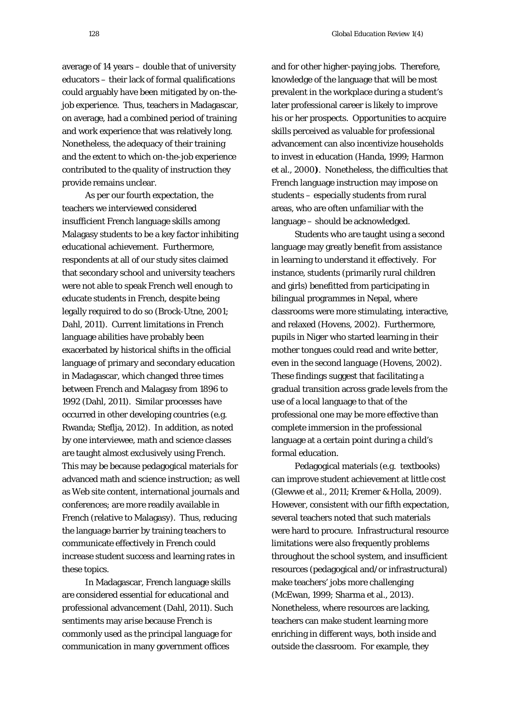average of 14 years – double that of university educators – their lack of formal qualifications could arguably have been mitigated by on-thejob experience. Thus, teachers in Madagascar, on average, had a combined period of training and work experience that was relatively long. Nonetheless, the adequacy of their training and the extent to which on-the-job experience contributed to the quality of instruction they provide remains unclear.

As per our fourth expectation, the teachers we interviewed considered insufficient French language skills among Malagasy students to be a key factor inhibiting educational achievement. Furthermore, respondents at all of our study sites claimed that secondary school and university teachers were not able to speak French well enough to educate students in French, despite being legally required to do so (Brock-Utne, 2001; Dahl, 2011). Current limitations in French language abilities have probably been exacerbated by historical shifts in the official language of primary and secondary education in Madagascar, which changed three times between French and Malagasy from 1896 to 1992 (Dahl, 2011). Similar processes have occurred in other developing countries (e.g. Rwanda; Steflja, 2012). In addition, as noted by one interviewee, math and science classes are taught almost exclusively using French. This may be because pedagogical materials for advanced math and science instruction; as well as Web site content, international journals and conferences; are more readily available in French (relative to Malagasy). Thus, reducing the language barrier by training teachers to communicate effectively in French could increase student success and learning rates in these topics.

In Madagascar, French language skills are considered essential for educational and professional advancement (Dahl, 2011). Such sentiments may arise because French is commonly used as the principal language for communication in many government offices

and for other higher-paying jobs. Therefore, knowledge of the language that will be most prevalent in the workplace during a student's later professional career is likely to improve his or her prospects. Opportunities to acquire skills perceived as valuable for professional advancement can also incentivize households to invest in education (Handa, 1999; Harmon et al., 2000**)**. Nonetheless, the difficulties that French language instruction may impose on students – especially students from rural areas, who are often unfamiliar with the language – should be acknowledged.

Students who are taught using a second language may greatly benefit from assistance in learning to understand it effectively. For instance, students (primarily rural children and girls) benefitted from participating in bilingual programmes in Nepal, where classrooms were more stimulating, interactive, and relaxed (Hovens, 2002). Furthermore, pupils in Niger who started learning in their mother tongues could read and write better, even in the second language (Hovens, 2002). These findings suggest that facilitating a gradual transition across grade levels from the use of a local language to that of the professional one may be more effective than complete immersion in the professional language at a certain point during a child's formal education.

Pedagogical materials (e.g. textbooks) can improve student achievement at little cost (Glewwe et al., 2011; Kremer & Holla, 2009). However, consistent with our fifth expectation, several teachers noted that such materials were hard to procure. Infrastructural resource limitations were also frequently problems throughout the school system, and insufficient resources (pedagogical and/or infrastructural) make teachers' jobs more challenging (McEwan, 1999; Sharma et al., 2013). Nonetheless, where resources are lacking, teachers can make student learning more enriching in different ways, both inside and outside the classroom. For example, they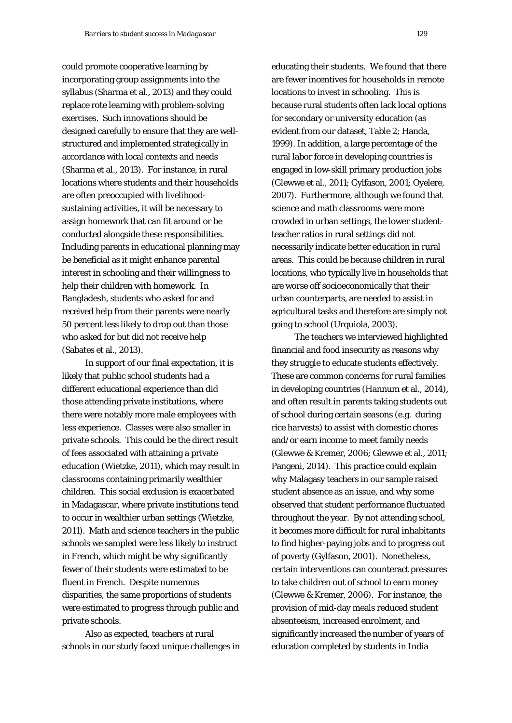could promote cooperative learning by incorporating group assignments into the syllabus (Sharma et al., 2013) and they could replace rote learning with problem-solving exercises. Such innovations should be designed carefully to ensure that they are wellstructured and implemented strategically in accordance with local contexts and needs (Sharma et al., 2013). For instance, in rural locations where students and their households are often preoccupied with livelihoodsustaining activities, it will be necessary to assign homework that can fit around or be conducted alongside these responsibilities. Including parents in educational planning may be beneficial as it might enhance parental interest in schooling and their willingness to help their children with homework. In Bangladesh, students who asked for and received help from their parents were nearly 50 percent less likely to drop out than those who asked for but did not receive help (Sabates et al., 2013).

In support of our final expectation, it is likely that public school students had a different educational experience than did those attending private institutions, where there were notably more male employees with less experience. Classes were also smaller in private schools. This could be the direct result of fees associated with attaining a private education (Wietzke, 2011), which may result in classrooms containing primarily wealthier children. This social exclusion is exacerbated in Madagascar, where private institutions tend to occur in wealthier urban settings (Wietzke, 2011). Math and science teachers in the public schools we sampled were less likely to instruct in French, which might be why significantly fewer of their students were estimated to be fluent in French. Despite numerous disparities, the same proportions of students were estimated to progress through public and private schools.

Also as expected, teachers at rural schools in our study faced unique challenges in educating their students. We found that there are fewer incentives for households in remote locations to invest in schooling. This is because rural students often lack local options for secondary or university education (as evident from our dataset, Table 2; Handa, 1999). In addition, a large percentage of the rural labor force in developing countries is engaged in low-skill primary production jobs (Glewwe et al., 2011; Gylfason, 2001; Oyelere, 2007). Furthermore, although we found that science and math classrooms were more crowded in urban settings, the lower studentteacher ratios in rural settings did not necessarily indicate better education in rural areas. This could be because children in rural locations, who typically live in households that are worse off socioeconomically that their urban counterparts, are needed to assist in agricultural tasks and therefore are simply not going to school (Urquiola, 2003).

The teachers we interviewed highlighted financial and food insecurity as reasons why they struggle to educate students effectively. These are common concerns for rural families in developing countries (Hannum et al., 2014), and often result in parents taking students out of school during certain seasons (e.g. during rice harvests) to assist with domestic chores and/or earn income to meet family needs (Glewwe & Kremer, 2006; Glewwe et al., 2011; Pangeni, 2014). This practice could explain why Malagasy teachers in our sample raised student absence as an issue, and why some observed that student performance fluctuated throughout the year. By not attending school, it becomes more difficult for rural inhabitants to find higher-paying jobs and to progress out of poverty (Gylfason, 2001). Nonetheless, certain interventions can counteract pressures to take children out of school to earn money (Glewwe & Kremer, 2006). For instance, the provision of mid-day meals reduced student absenteeism, increased enrolment, and significantly increased the number of years of education completed by students in India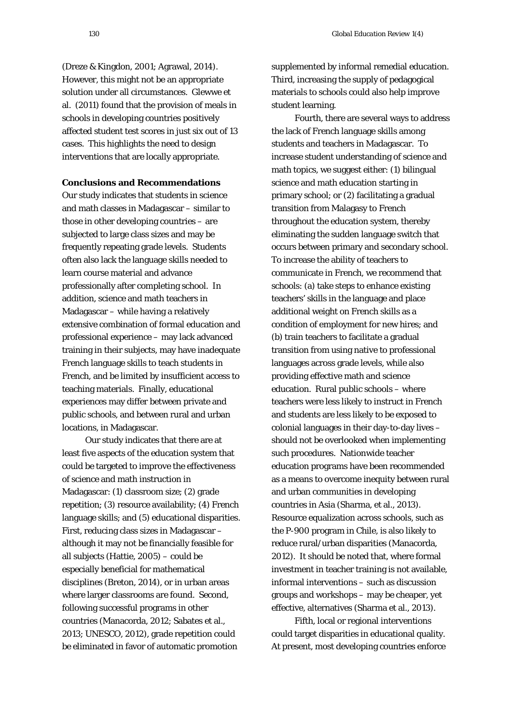(Dreze & Kingdon, 2001; Agrawal, 2014). However, this might not be an appropriate solution under all circumstances. Glewwe et al. (2011) found that the provision of meals in schools in developing countries positively affected student test scores in just six out of 13 cases. This highlights the need to design interventions that are locally appropriate.

**Conclusions and Recommendations**

Our study indicates that students in science and math classes in Madagascar – similar to those in other developing countries – are subjected to large class sizes and may be frequently repeating grade levels. Students often also lack the language skills needed to learn course material and advance professionally after completing school. In addition, science and math teachers in Madagascar – while having a relatively extensive combination of formal education and professional experience – may lack advanced training in their subjects, may have inadequate French language skills to teach students in French, and be limited by insufficient access to teaching materials. Finally, educational experiences may differ between private and public schools, and between rural and urban locations, in Madagascar.

Our study indicates that there are at least five aspects of the education system that could be targeted to improve the effectiveness of science and math instruction in Madagascar: (1) classroom size; (2) grade repetition; (3) resource availability; (4) French language skills; and (5) educational disparities. First, reducing class sizes in Madagascar – although it may not be financially feasible for all subjects (Hattie, 2005) – could be especially beneficial for mathematical disciplines (Breton, 2014), or in urban areas where larger classrooms are found. Second, following successful programs in other countries (Manacorda, 2012; Sabates et al., 2013; UNESCO, 2012), grade repetition could be eliminated in favor of automatic promotion

supplemented by informal remedial education. Third, increasing the supply of pedagogical materials to schools could also help improve student learning.

Fourth, there are several ways to address the lack of French language skills among students and teachers in Madagascar. To increase student understanding of science and math topics, we suggest either: (1) bilingual science and math education starting in primary school; or (2) facilitating a gradual transition from Malagasy to French throughout the education system, thereby eliminating the sudden language switch that occurs between primary and secondary school. To increase the ability of teachers to communicate in French, we recommend that schools: (a) take steps to enhance existing teachers' skills in the language and place additional weight on French skills as a condition of employment for new hires; and (b) train teachers to facilitate a gradual transition from using native to professional languages across grade levels, while also providing effective math and science education. Rural public schools – where teachers were less likely to instruct in French and students are less likely to be exposed to colonial languages in their day-to-day lives – should not be overlooked when implementing such procedures. Nationwide teacher education programs have been recommended as a means to overcome inequity between rural and urban communities in developing countries in Asia (Sharma, et al., 2013). Resource equalization across schools, such as the P-900 program in Chile, is also likely to reduce rural/urban disparities (Manacorda, 2012). It should be noted that, where formal investment in teacher training is not available, informal interventions – such as discussion groups and workshops – may be cheaper, yet effective, alternatives (Sharma et al., 2013).

Fifth, local or regional interventions could target disparities in educational quality. At present, most developing countries enforce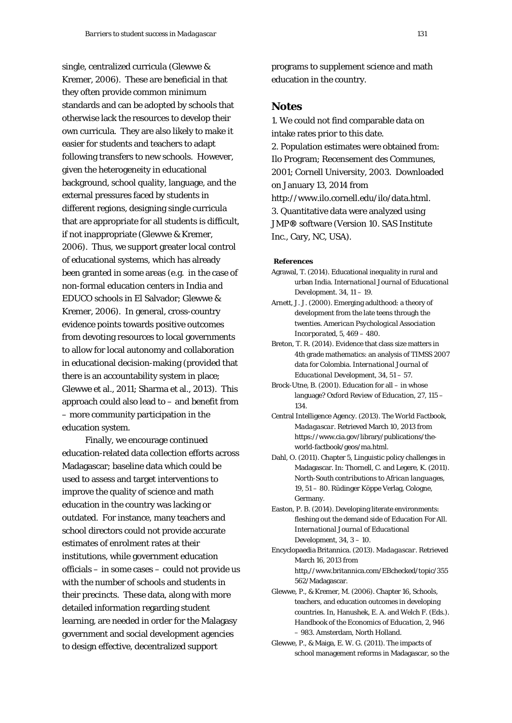single, centralized curricula (Glewwe & Kremer, 2006). These are beneficial in that they often provide common minimum standards and can be adopted by schools that otherwise lack the resources to develop their own curricula. They are also likely to make it easier for students and teachers to adapt following transfers to new schools. However, given the heterogeneity in educational background, school quality, language, and the external pressures faced by students in different regions, designing single curricula that are appropriate for all students is difficult, if not inappropriate (Glewwe & Kremer, 2006). Thus, we support greater local control of educational systems, which has already been granted in some areas (e.g. in the case of non-formal education centers in India and EDUCO schools in El Salvador; Glewwe & Kremer, 2006). In general, cross-country evidence points towards positive outcomes from devoting resources to local governments to allow for local autonomy and collaboration in educational decision-making (provided that there is an accountability system in place; Glewwe et al., 2011; Sharma et al., 2013). This approach could also lead to – and benefit from – more community participation in the education system.

Finally, we encourage continued education-related data collection efforts across Madagascar; baseline data which could be used to assess and target interventions to improve the quality of science and math education in the country was lacking or outdated. For instance, many teachers and school directors could not provide accurate estimates of enrolment rates at their institutions, while government education officials – in some cases – could not provide us with the number of schools and students in their precincts. These data, along with more detailed information regarding student learning, are needed in order for the Malagasy government and social development agencies to design effective, decentralized support

programs to supplement science and math education in the country.

## **Notes**

1. We could not find comparable data on intake rates prior to this date. 2. Population estimates were obtained from: Ilo Program; Recensement des Communes, 2001; Cornell University, 2003. Downloaded on January 13, 2014 from http://www.ilo.cornell.edu/ilo/data.html. 3. Quantitative data were analyzed using JMP**®** software (Version 10. SAS Institute Inc., Cary, NC, USA).

#### **References**

- Agrawal, T. (2014). Educational inequality in rural and urban India. *International Journal of Educational Development*. 34, 11 – 19.
- Arnett, J. J. (2000). Emerging adulthood: a theory of development from the late teens through the twenties. *American Psychological Association Incorporated*, 5, 469 – 480.
- Breton, T. R. (2014). Evidence that class size matters in 4th grade mathematics: an analysis of TIMSS 2007 data for Colombia. *International Journal of Educational Development*, 34, 51 – 57.
- Brock-Utne, B. (2001). Education for all in whose language? *Oxford Review of Education*, 27, 115 – 134.
- Central Intelligence Agency. (2013). *The World Factbook, Madagascar*. Retrieved March 10, 2013 from [https://www.cia.gov/library/publications/the](https://www.cia.gov/library/publications/the-world-factbook/geos/ma.html)[world-factbook/geos/ma.html.](https://www.cia.gov/library/publications/the-world-factbook/geos/ma.html)
- Dahl, O. (2011). Chapter 5, Linguistic policy challenges in Madagascar. In: Thornell, C. and Legere, K. (2011). *North-South contributions to African languages*, 19, 51 – 80. Rüdinger Köppe Verlag, Cologne, Germany.
- Easton, P. B. (2014). Developing literate environments: fleshing out the demand side of Education For All. *International Journal of Educational Development*, 34, 3 – 10.

Encyclopaedia Britannica. (2013). *Madagascar*. Retrieved March 16, 2013 from

[http,//www.britannica.com/EBchecked/topic/355](http://www.britannica.com/EBchecked/topic/355562/Madagascar) [562/Madagascar.](http://www.britannica.com/EBchecked/topic/355562/Madagascar)

Glewwe, P., & Kremer, M. (2006). Chapter 16, Schools, teachers, and education outcomes in developing countries. In, Hanushek, E. A. and Welch F. (Eds.). *Handbook of the Economics of Education*, 2, 946 – 983. Amsterdam, North Holland.

Glewwe, P., & Maiga, E. W. G. (2011). The impacts of school management reforms in Madagascar, so the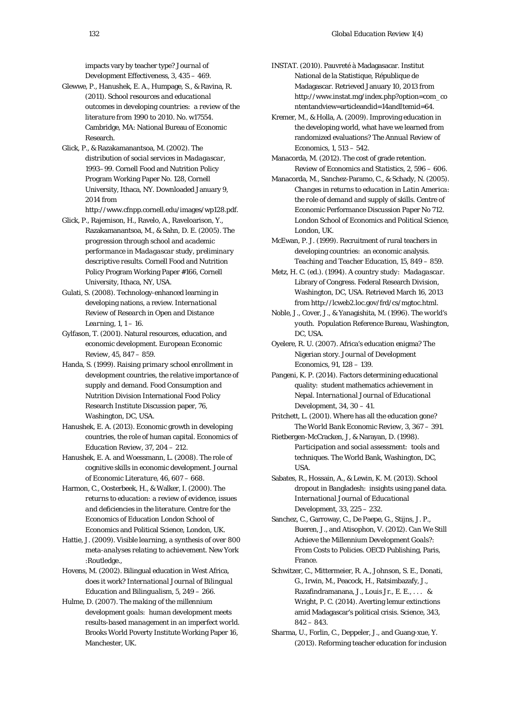impacts vary by teacher type? *Journal of Development Effectiveness*, 3, 435 – 469.

- Glewwe, P., Hanushek, E. A., Humpage, S., & Ravina, R. (2011). *School resources and educational outcomes in developing countries: a review of the literature from 1990 to 2010.* No. w17554. Cambridge, MA: National Bureau of Economic Research.
- Glick, P., & Razakamanantsoa, M. (2002). *The distribution of social services in Madagascar, 1993–99.* Cornell Food and Nutrition Policy Program Working Paper No. 128, Cornell University, Ithaca, NY. Downloaded January 9, 2014 from
- [http://www.cfnpp.cornell.edu/images/wp128.pdf.](http://www.cfnpp.cornell.edu/images/wp128.pdf) Glick, P., Rajemison, H., Ravelo, A., Raveloarison, Y., Razakamanantsoa, M., & Sahn, D. E. (2005). *The progression through school and academic performance in Madagascar study, preliminary descriptive results*. Cornell Food and Nutrition Policy Program Working Paper #166, Cornell
- University, Ithaca, NY, USA. Gulati, S. (2008). Technology-enhanced learning in developing nations, a review. *International Review of Research in Open and Distance Learning*, 1, 1 – 16.
- Gylfason, T. (2001). Natural resources, education, and economic development. *European Economic Review*, 45, 847 – 859.
- Handa, S. (1999). *Raising primary school enrollment in development countries, the relative importance of supply and demand*. Food Consumption and Nutrition Division International Food Policy Research Institute Discussion paper, 76, Washington, DC, USA.
- Hanushek, E. A. (2013). Economic growth in developing countries, the role of human capital. *Economics of Education Review*, 37, 204 – 212.
- Hanushek, E. A. and Woessmann, L. (2008). The role of cognitive skills in economic development. *Journal of Economic Literature*, 46, 607 – 668.
- Harmon, C., Oosterbeek, H., & Walker, I. (2000). *The returns to education: a review of evidence, issues and deficiencies in the literature*. Centre for the Economics of Education London School of Economics and Political Science, London, UK.
- Hattie, J. (2009). *Visible learning, a synthesis of over 800 meta-analyses relating to achievement*. New York :Routledge.,
- Hovens, M. (2002). Bilingual education in West Africa, does it work? *International Journal of Bilingual Education and Bilingualism*, 5, 249 – 266.
- Hulme, D. (2007). *The making of the millennium development goals: human development meets results-based management in an imperfect world*. Brooks World Poverty Institute Working Paper 16, Manchester, UK.
- INSTAT. (2010). Pauvreté à Madagasacar. Institut National de la Statistique, République de Madagascar. Retrieved January 10, 2013 from http://www.instat.mg/index.php?option=com\_co ntentandview=articleandid=14andItemid=64.
- Kremer, M., & Holla, A. (2009). Improving education in the developing world, what have we learned from randomized evaluations? *The Annual Review of Economics*, 1, 513 – 542.
- Manacorda, M. (2012). The cost of grade retention. *Review of Economics and Statistics*, 2, 596 – 606.
- Manacorda, M., Sanchez-Paramo, C., & Schady, N. (2005). *Changes in returns to education in Latin America: the role of demand and supply of skills.* Centre of Economic Performance Discussion Paper No 712. London School of Economics and Political Science, London, UK.
- McEwan, P. J. (1999). Recruitment of rural teachers in developing countries: an economic analysis. *Teaching and Teacher Education*, 15, 849 – 859.
- Metz, H. C. (ed.). (1994). *A country study: Madagascar*. Library of Congress. Federal Research Division, Washington, DC, USA. Retrieved March 16, 2013 from http://lcweb2.loc.gov/frd/cs/mgtoc.html.
- Noble, J., Cover, J., & Yanagishita, M. (1996). *The world's youth*. Population Reference Bureau, Washington, DC, USA.
- Oyelere, R. U. (2007). Africa's education enigma? The Nigerian story. *Journal of Development Economics*, 91, 128 – 139.
- Pangeni, K. P. (2014). Factors determining educational quality: student mathematics achievement in Nepal. *International Journal of Educational Development*, 34, 30 – 41.
- Pritchett, L. (2001). Where has all the education gone? *The World Bank Economic Review*, 3, 367 – 391.
- Rietbergen-McCracken, J, & Narayan, D. (1998). *Participation and social assessment: tools and techniques*. The World Bank, Washington, DC, USA.
- Sabates, R., Hossain, A., & Lewin, K. M. (2013). School dropout in Bangladesh: insights using panel data. *International Journal of Educational Development*, 33, 225 – 232.
- Sanchez, C., Garroway, C., De Paepe, G., Stijns, J. P., Bueren, J., and Atisophon, V. (2012*). Can We Still Achieve the Millennium Development Goals?: From Costs to Policies*. OECD Publishing, Paris, France.
- Schwitzer, C., Mittermeier, R. A., Johnson, S. E., Donati, G., Irwin, M., Peacock, H., Ratsimbazafy, J., Razafindramanana, J., Louis Jr., E. E., . . . & Wright, P. C. (2014). Averting lemur extinctions amid Madagascar's political crisis. *Scienc*e, 343, 842 – 843.
- Sharma, U., Forlin, C., Deppeler, J., and Guang-xue, Y. (2013). Reforming teacher education for inclusion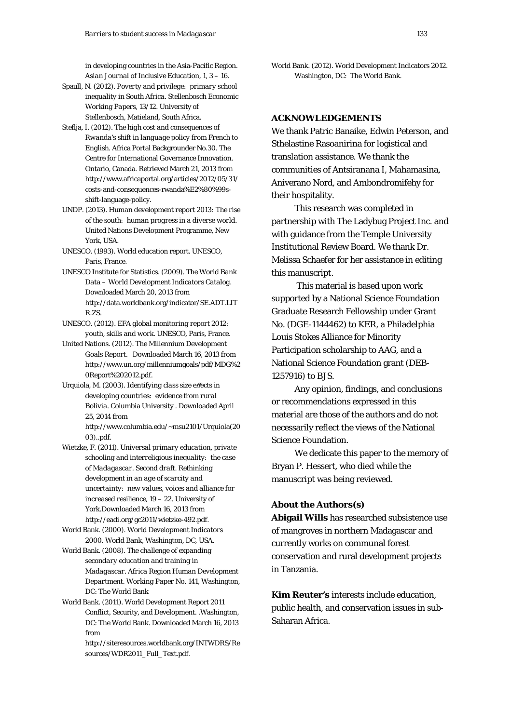in developing countries in the Asia-Pacific Region. *Asian Journal of Inclusive Education*, 1, 3 – 16.

- Spaull, N. (2012). *Poverty and privilege: primary school inequality in South Africa. Stellenbosch Economic Working Papers*, 13/12. University of Stellenbosch, Matieland, South Africa.
- Steflja, I. (2012). *The high cost and consequences of Rwanda's shift in language policy from French to English*. Africa Portal Backgrounder No.30. The Centre for International Governance Innovation. Ontario, Canada. Retrieved March 21, 2013 from http://www.africaportal.org/articles/2012/05/31/ costs-and-consequences-rwanda%E2%80%99sshift-language-policy.
- UNDP. (2013). *Human development report 2013: The rise of the south: human progress in a diverse world*. United Nations Development Programme, New York, USA.
- UNESCO. (1993). World education report. UNESCO, Paris, France.
- UNESCO Institute for Statistics. (2009). *The World Bank Data – World Development Indicators Catalog*. Downloaded March 20, 2013 from http://data.worldbank.org/indicator/SE.ADT.LIT R.ZS.
- UNESCO. (2012). *EFA global monitoring report 2012: youth, skills and work*. UNESCO, Paris, France.
- United Nations. (2012). *The Millennium Development Goals Report.* Downloaded March 16, 2013 from http://www.un.org/millenniumgoals/pdf/MDG%2 0Report%202012.pdf.
- Urquiola, M. (2003). *Identifying class size e*ff*ects in developing countries: evidence from rural Bolivia*. Columbia University . Downloaded April 25, 2014 from

http://www.columbia.edu/~msu2101/Urquiola(20 03)..pdf.

- Wietzke, F. (2011). *Universal primary education, private schooling and interreligious inequality: the case of Madagascar. Second draft. Rethinking development in an age of scarcity and uncertainty: new values, voices and alliance for increased resilience, 19 – 22.* University of York.Downloaded March 16, 2013 from http://eadi.org/gc2011/wietzke-492.pdf.
- World Bank. (2000). *World Development Indicators 2000*. World Bank, Washington, DC, USA.
- World Bank. (2008). *The challenge of expanding secondary education and training in Madagascar. Africa Region Human Development Department*. *Working Paper No. 141*, Washington, DC: The World Bank
- World Bank. (2011). World Development Report 2011 Conflict, Security, and Development. .Washington, DC: The World Bank. Downloaded March 16, 2013 from

http://siteresources.worldbank.org/INTWDRS/Re sources/WDR2011\_Full\_Text.pdf.

World Bank. (2012). World Development Indicators 2012. Washington, DC: The World Bank.

## **ACKNOWLEDGEMENTS**

We thank Patric Banaike, Edwin Peterson, and Sthelastine Rasoanirina for logistical and translation assistance. We thank the communities of Antsiranana I, Mahamasina, Aniverano Nord, and Ambondromifehy for their hospitality.

This research was completed in partnership with The Ladybug Project Inc. and with guidance from the Temple University Institutional Review Board. We thank Dr. Melissa Schaefer for her assistance in editing this manuscript.

This material is based upon work supported by a National Science Foundation Graduate Research Fellowship under Grant No. (DGE-1144462) to KER, a Philadelphia Louis Stokes Alliance for Minority Participation scholarship to AAG, and a National Science Foundation grant (DEB-1257916) to BJS.

Any opinion, findings, and conclusions or recommendations expressed in this material are those of the authors and do not necessarily reflect the views of the National Science Foundation.

We dedicate this paper to the memory of Bryan P. Hessert, who died while the manuscript was being reviewed.

## **About the Authors(s)**

**Abigail Wills** has researched subsistence use of mangroves in northern Madagascar and currently works on communal forest conservation and rural development projects in Tanzania.

**Kim Reuter's** interests include education, public health, and conservation issues in sub-Saharan Africa.